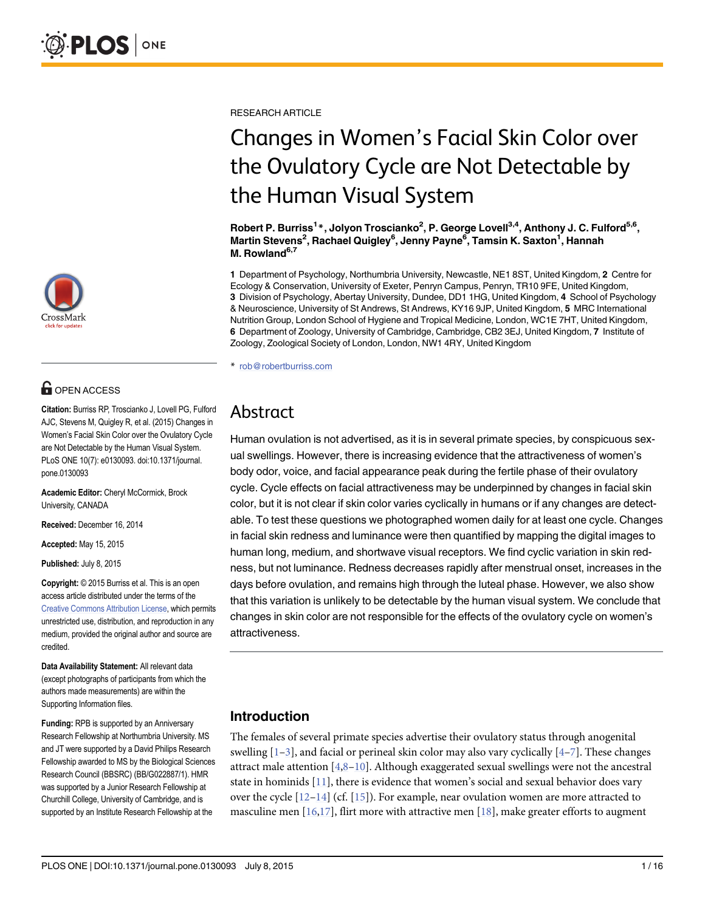

# **OPEN ACCESS**

Citation: Burriss RP, Troscianko J, Lovell PG, Fulford AJC, Stevens M, Quigley R, et al. (2015) Changes in Women's Facial Skin Color over the Ovulatory Cycle are Not Detectable by the Human Visual System. PLoS ONE 10(7): e0130093. doi:10.1371/journal. pone.0130093

Academic Editor: Cheryl McCormick, Brock University, CANADA

Received: December 16, 2014

Accepted: May 15, 2015

Published: July 8, 2015

Copyright: © 2015 Burriss et al. This is an open access article distributed under the terms of the [Creative Commons Attribution License,](http://creativecommons.org/licenses/by/4.0/) which permits unrestricted use, distribution, and reproduction in any medium, provided the original author and source are credited.

Data Availability Statement: All relevant data (except photographs of participants from which the authors made measurements) are within the Supporting Information files.

Funding: RPB is supported by an Anniversary Research Fellowship at Northumbria University. MS and JT were supported by a David Philips Research Fellowship awarded to MS by the Biological Sciences Research Council (BBSRC) (BB/G022887/1). HMR was supported by a Junior Research Fellowship at Churchill College, University of Cambridge, and is supported by an Institute Research Fellowship at the

<span id="page-0-0"></span>RESEARCH ARTICLE

# Changes in Women's Facial Skin Color over the Human Visual System

Robert P. Burriss<sup>1</sup>\*, Jolyon Troscianko<sup>2</sup>, P. George Lovell<sup>3,4</sup>, Anthony J. C. Fulford<sup>5,6</sup>, Martin Stevens<sup>2</sup>, Rachael Quigley<sup>6</sup>, Jenny Payne<sup>6</sup>, Tamsin K. Saxton<sup>1</sup>, Hannah M. Rowland $6,7$ 

1 Department of Psychology, Northumbria University, Newcastle, NE1 8ST, United Kingdom, 2 Centre for Ecology & Conservation, University of Exeter, Penryn Campus, Penryn, TR10 9FE, United Kingdom, 3 Division of Psychology, Abertay University, Dundee, DD1 1HG, United Kingdom, 4 School of Psychology & Neuroscience, University of St Andrews, St Andrews, KY16 9JP, United Kingdom, 5 MRC International Nutrition Group, London School of Hygiene and Tropical Medicine, London, WC1E 7HT, United Kingdom, 6 Department of Zoology, University of Cambridge, Cambridge, CB2 3EJ, United Kingdom, 7 Institute of Zoology, Zoological Society of London, London, NW1 4RY, United Kingdom

\* rob@robertburriss.com

# Abstract Abstract

Human ovulation is not advertised, as it is in several primate species, by conspicuous sexual swellings. However, there is increasing evidence that the attractiveness of women's body odor, voice, and facial appearance peak during the fertile phase of their ovulatory cycle. Cycle effects on facial attractiveness may be underpinned by changes in facial skin color, but it is not clear if skin color varies cyclically in humans or if any changes are detectable. To test these questions we photographed women daily for at least one cycle. Changes in facial skin redness and luminance were then quantified by mapping the digital images to human long, medium, and shortwave visual receptors. We find cyclic variation in skin redness, but not luminance. Redness decreases rapidly after menstrual onset, increases in the days before ovulation, and remains high through the luteal phase. However, we also show that this variation is unlikely to be detectable by the human visual system. We conclude that changes in skin color are not responsible for the effects of the ovulatory cycle on women's attractiveness.

# Introduction

The females of several primate species advertise their ovulatory status through anogenital swelling  $[1-3]$  $[1-3]$  $[1-3]$  $[1-3]$ , and facial or perineal skin color may also vary cyclically  $[4-7]$  $[4-7]$  $[4-7]$  $[4-7]$  $[4-7]$ . These changes attract male attention  $[4,8-10]$  $[4,8-10]$  $[4,8-10]$  $[4,8-10]$  $[4,8-10]$ . Although exaggerated sexual swellings were not the ancestral state in hominids  $[11]$ , there is evidence that women's social and sexual behavior does vary over the cycle  $[12-14]$  $[12-14]$  $[12-14]$  $[12-14]$  (cf. [[15](#page-11-0)]). For example, near ovulation women are more attracted to masculine men  $[16,17]$  $[16,17]$  $[16,17]$  $[16,17]$  $[16,17]$ , flirt more with attractive men  $[18]$  $[18]$  $[18]$ , make greater efforts to augment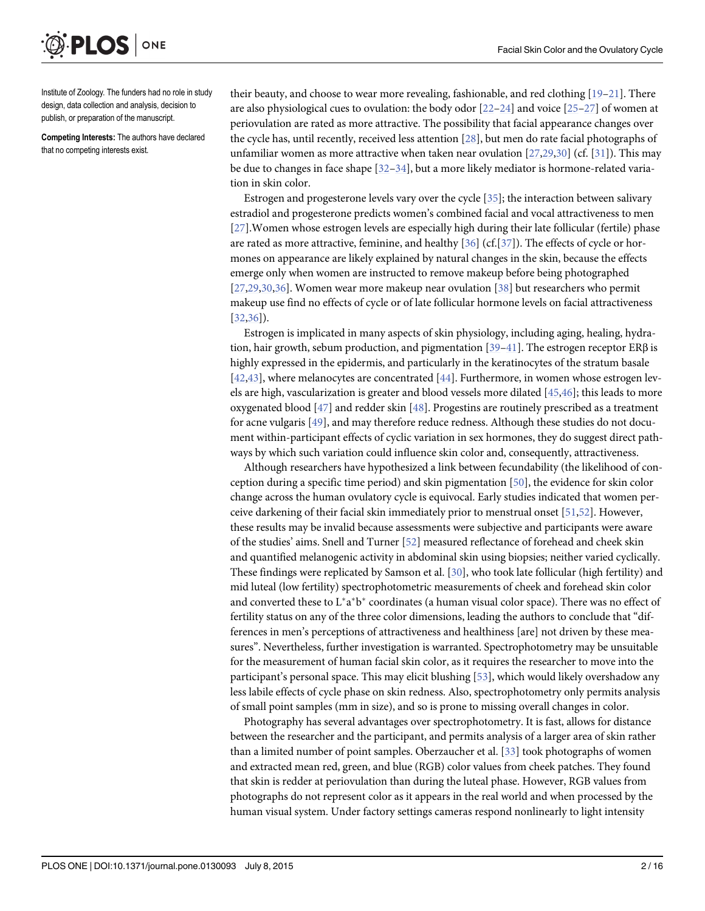<span id="page-1-0"></span>

Institute of Zoology. The funders had no role in study design, data collection and analysis, decision to publish, or preparation of the manuscript.

Competing Interests: The authors have declared that no competing interests exist.

their beauty, and choose to wear more revealing, fashionable, and red clothing [[19](#page-11-0)–[21](#page-12-0)]. There are also physiological cues to ovulation: the body odor  $[22-24]$  $[22-24]$  $[22-24]$  and voice  $[25-27]$  $[25-27]$  $[25-27]$  $[25-27]$  $[25-27]$  of women at periovulation are rated as more attractive. The possibility that facial appearance changes over the cycle has, until recently, received less attention [\[28\]](#page-12-0), but men do rate facial photographs of unfamiliar women as more attractive when taken near ovulation  $[27,29,30]$  (cf. [[31](#page-12-0)]). This may be due to changes in face shape  $[32-34]$  $[32-34]$  $[32-34]$  $[32-34]$  $[32-34]$ , but a more likely mediator is hormone-related variation in skin color.

Estrogen and progesterone levels vary over the cycle [\[35\]](#page-12-0); the interaction between salivary estradiol and progesterone predicts women's combined facial and vocal attractiveness to men [\[27](#page-12-0)].Women whose estrogen levels are especially high during their late follicular (fertile) phase are rated as more attractive, feminine, and healthy [[36](#page-12-0)] (cf.[\[37\]](#page-12-0)). The effects of cycle or hormones on appearance are likely explained by natural changes in the skin, because the effects emerge only when women are instructed to remove makeup before being photographed [\[27,29,30,36](#page-12-0)]. Women wear more makeup near ovulation [[38](#page-12-0)] but researchers who permit makeup use find no effects of cycle or of late follicular hormone levels on facial attractiveness [\[32,36\]](#page-12-0)).

Estrogen is implicated in many aspects of skin physiology, including aging, healing, hydration, hair growth, sebum production, and pigmentation  $[39-41]$  $[39-41]$  $[39-41]$  $[39-41]$ . The estrogen receptor ER $\beta$  is highly expressed in the epidermis, and particularly in the keratinocytes of the stratum basale  $[42,43]$ , where melanocytes are concentrated  $[44]$ . Furthermore, in women whose estrogen levels are high, vascularization is greater and blood vessels more dilated [[45,46](#page-13-0)]; this leads to more oxygenated blood [[47](#page-13-0)] and redder skin [[48](#page-13-0)]. Progestins are routinely prescribed as a treatment for acne vulgaris [[49\]](#page-13-0), and may therefore reduce redness. Although these studies do not document within-participant effects of cyclic variation in sex hormones, they do suggest direct pathways by which such variation could influence skin color and, consequently, attractiveness.

Although researchers have hypothesized a link between fecundability (the likelihood of conception during a specific time period) and skin pigmentation [[50](#page-13-0)], the evidence for skin color change across the human ovulatory cycle is equivocal. Early studies indicated that women perceive darkening of their facial skin immediately prior to menstrual onset [[51,52](#page-13-0)]. However, these results may be invalid because assessments were subjective and participants were aware of the studies' aims. Snell and Turner [[52](#page-13-0)] measured reflectance of forehead and cheek skin and quantified melanogenic activity in abdominal skin using biopsies; neither varied cyclically. These findings were replicated by Samson et al. [[30](#page-12-0)], who took late follicular (high fertility) and mid luteal (low fertility) spectrophotometric measurements of cheek and forehead skin color and converted these to  $L^*a^*b^*$  coordinates (a human visual color space). There was no effect of fertility status on any of the three color dimensions, leading the authors to conclude that "differences in men's perceptions of attractiveness and healthiness [are] not driven by these measures". Nevertheless, further investigation is warranted. Spectrophotometry may be unsuitable for the measurement of human facial skin color, as it requires the researcher to move into the participant's personal space. This may elicit blushing [\[53\]](#page-13-0), which would likely overshadow any less labile effects of cycle phase on skin redness. Also, spectrophotometry only permits analysis of small point samples (mm in size), and so is prone to missing overall changes in color.

Photography has several advantages over spectrophotometry. It is fast, allows for distance between the researcher and the participant, and permits analysis of a larger area of skin rather than a limited number of point samples. Oberzaucher et al. [\[33](#page-12-0)] took photographs of women and extracted mean red, green, and blue (RGB) color values from cheek patches. They found that skin is redder at periovulation than during the luteal phase. However, RGB values from photographs do not represent color as it appears in the real world and when processed by the human visual system. Under factory settings cameras respond nonlinearly to light intensity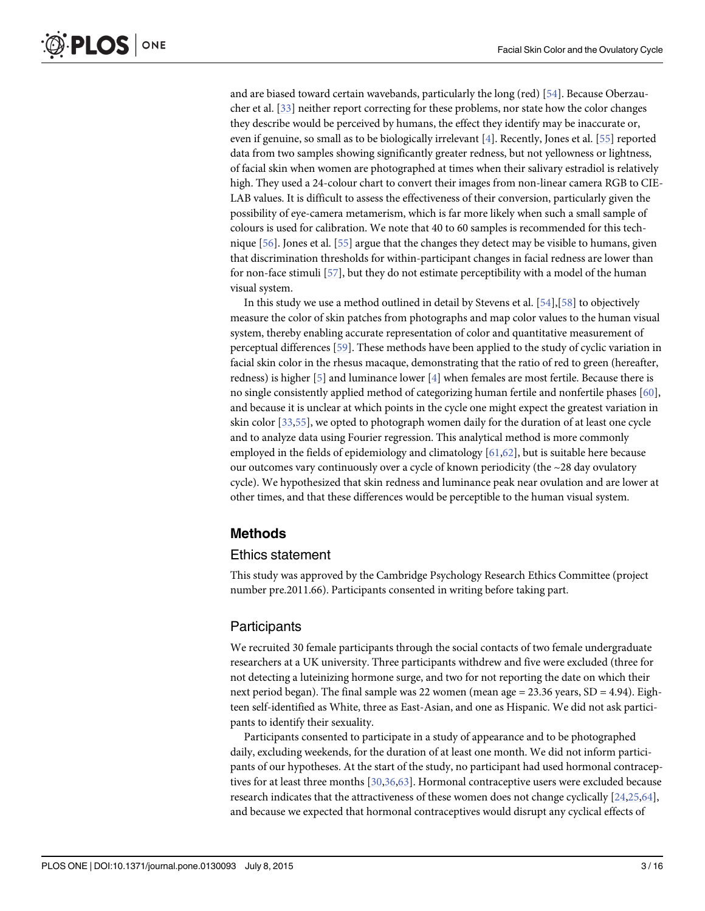<span id="page-2-0"></span>and are biased toward certain wavebands, particularly the long (red) [[54](#page-13-0)]. Because Oberzaucher et al. [[33](#page-12-0)] neither report correcting for these problems, nor state how the color changes they describe would be perceived by humans, the effect they identify may be inaccurate or, even if genuine, so small as to be biologically irrelevant [[4\]](#page-11-0). Recently, Jones et al. [[55](#page-13-0)] reported data from two samples showing significantly greater redness, but not yellowness or lightness, of facial skin when women are photographed at times when their salivary estradiol is relatively high. They used a 24-colour chart to convert their images from non-linear camera RGB to CIE-LAB values. It is difficult to assess the effectiveness of their conversion, particularly given the possibility of eye-camera metamerism, which is far more likely when such a small sample of colours is used for calibration. We note that 40 to 60 samples is recommended for this technique [\[56\]](#page-13-0). Jones et al. [\[55\]](#page-13-0) argue that the changes they detect may be visible to humans, given that discrimination thresholds for within-participant changes in facial redness are lower than for non-face stimuli [\[57\]](#page-13-0), but they do not estimate perceptibility with a model of the human visual system.

In this study we use a method outlined in detail by Stevens et al. [\[54\]](#page-13-0),[[58](#page-13-0)] to objectively measure the color of skin patches from photographs and map color values to the human visual system, thereby enabling accurate representation of color and quantitative measurement of perceptual differences [[59](#page-13-0)]. These methods have been applied to the study of cyclic variation in facial skin color in the rhesus macaque, demonstrating that the ratio of red to green (hereafter, redness) is higher [\[5](#page-11-0)] and luminance lower [[4\]](#page-11-0) when females are most fertile. Because there is no single consistently applied method of categorizing human fertile and nonfertile phases [[60](#page-13-0)], and because it is unclear at which points in the cycle one might expect the greatest variation in skin color [[33](#page-12-0),[55](#page-13-0)], we opted to photograph women daily for the duration of at least one cycle and to analyze data using Fourier regression. This analytical method is more commonly employed in the fields of epidemiology and climatology [[61](#page-13-0),[62](#page-13-0)], but is suitable here because our outcomes vary continuously over a cycle of known periodicity (the  $\sim$ 28 day ovulatory cycle). We hypothesized that skin redness and luminance peak near ovulation and are lower at other times, and that these differences would be perceptible to the human visual system.

#### Methods

#### Ethics statement

This study was approved by the Cambridge Psychology Research Ethics Committee (project number pre.2011.66). Participants consented in writing before taking part.

#### **Participants**

We recruited 30 female participants through the social contacts of two female undergraduate researchers at a UK university. Three participants withdrew and five were excluded (three for not detecting a luteinizing hormone surge, and two for not reporting the date on which their next period began). The final sample was 22 women (mean age = 23.36 years, SD = 4.94). Eighteen self-identified as White, three as East-Asian, and one as Hispanic. We did not ask participants to identify their sexuality.

Participants consented to participate in a study of appearance and to be photographed daily, excluding weekends, for the duration of at least one month. We did not inform participants of our hypotheses. At the start of the study, no participant had used hormonal contracep-tives for at least three months [\[30,36,](#page-12-0)[63](#page-13-0)]. Hormonal contraceptive users were excluded because research indicates that the attractiveness of these women does not change cyclically [[24](#page-12-0),[25](#page-12-0)[,64](#page-13-0)], and because we expected that hormonal contraceptives would disrupt any cyclical effects of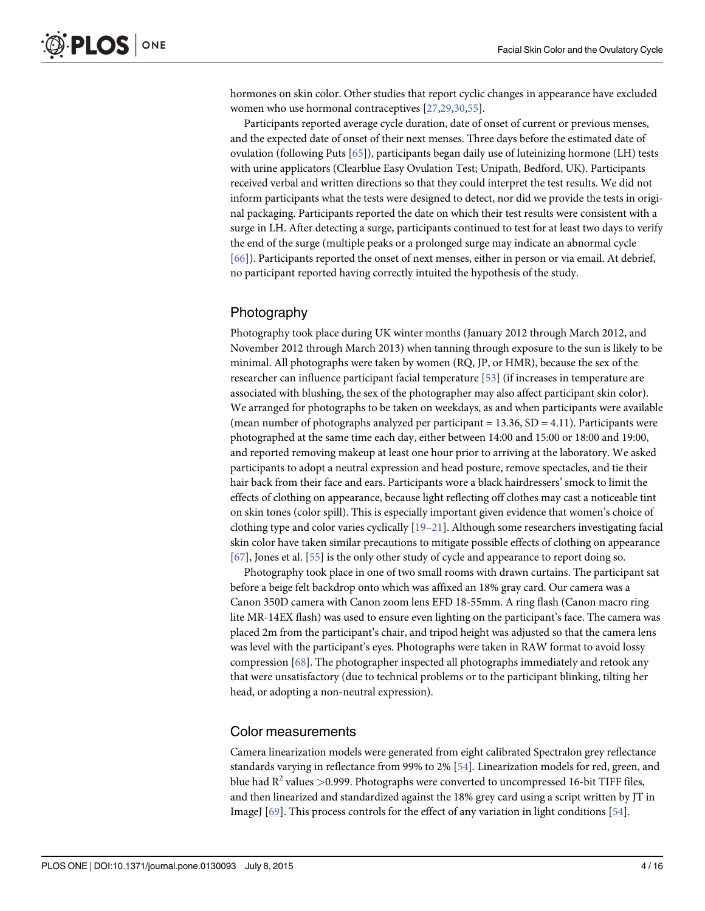<span id="page-3-0"></span>hormones on skin color. Other studies that report cyclic changes in appearance have excluded women who use hormonal contraceptives [[27](#page-12-0),[29,30,](#page-12-0)[55\]](#page-13-0).

Participants reported average cycle duration, date of onset of current or previous menses, and the expected date of onset of their next menses. Three days before the estimated date of ovulation (following Puts [\[65\]](#page-13-0)), participants began daily use of luteinizing hormone (LH) tests with urine applicators (Clearblue Easy Ovulation Test; Unipath, Bedford, UK). Participants received verbal and written directions so that they could interpret the test results. We did not inform participants what the tests were designed to detect, nor did we provide the tests in original packaging. Participants reported the date on which their test results were consistent with a surge in LH. After detecting a surge, participants continued to test for at least two days to verify the end of the surge (multiple peaks or a prolonged surge may indicate an abnormal cycle [\[66](#page-13-0)]). Participants reported the onset of next menses, either in person or via email. At debrief, no participant reported having correctly intuited the hypothesis of the study.

## Photography

Photography took place during UK winter months (January 2012 through March 2012, and November 2012 through March 2013) when tanning through exposure to the sun is likely to be minimal. All photographs were taken by women (RQ, JP, or HMR), because the sex of the researcher can influence participant facial temperature [[53](#page-13-0)] (if increases in temperature are associated with blushing, the sex of the photographer may also affect participant skin color). We arranged for photographs to be taken on weekdays, as and when participants were available (mean number of photographs analyzed per participant =  $13.36$ , SD =  $4.11$ ). Participants were photographed at the same time each day, either between 14:00 and 15:00 or 18:00 and 19:00, and reported removing makeup at least one hour prior to arriving at the laboratory. We asked participants to adopt a neutral expression and head posture, remove spectacles, and tie their hair back from their face and ears. Participants wore a black hairdressers' smock to limit the effects of clothing on appearance, because light reflecting off clothes may cast a noticeable tint on skin tones (color spill). This is especially important given evidence that women's choice of clothing type and color varies cyclically [\[19](#page-11-0)–[21\]](#page-12-0). Although some researchers investigating facial skin color have taken similar precautions to mitigate possible effects of clothing on appearance [\[67](#page-14-0)], Jones et al. [[55](#page-13-0)] is the only other study of cycle and appearance to report doing so.

Photography took place in one of two small rooms with drawn curtains. The participant sat before a beige felt backdrop onto which was affixed an 18% gray card. Our camera was a Canon 350D camera with Canon zoom lens EFD 18-55mm. A ring flash (Canon macro ring lite MR-14EX flash) was used to ensure even lighting on the participant's face. The camera was placed 2m from the participant's chair, and tripod height was adjusted so that the camera lens was level with the participant's eyes. Photographs were taken in RAW format to avoid lossy compression [\[68\]](#page-14-0). The photographer inspected all photographs immediately and retook any that were unsatisfactory (due to technical problems or to the participant blinking, tilting her head, or adopting a non-neutral expression).

#### Color measurements

Camera linearization models were generated from eight calibrated Spectralon grey reflectance standards varying in reflectance from 99% to 2% [\[54\]](#page-13-0). Linearization models for red, green, and blue had  $R^2$  values >0.999. Photographs were converted to uncompressed 16-bit TIFF files, and then linearized and standardized against the 18% grey card using a script written by JT in ImageJ [\[69](#page-14-0)]. This process controls for the effect of any variation in light conditions [\[54\]](#page-13-0).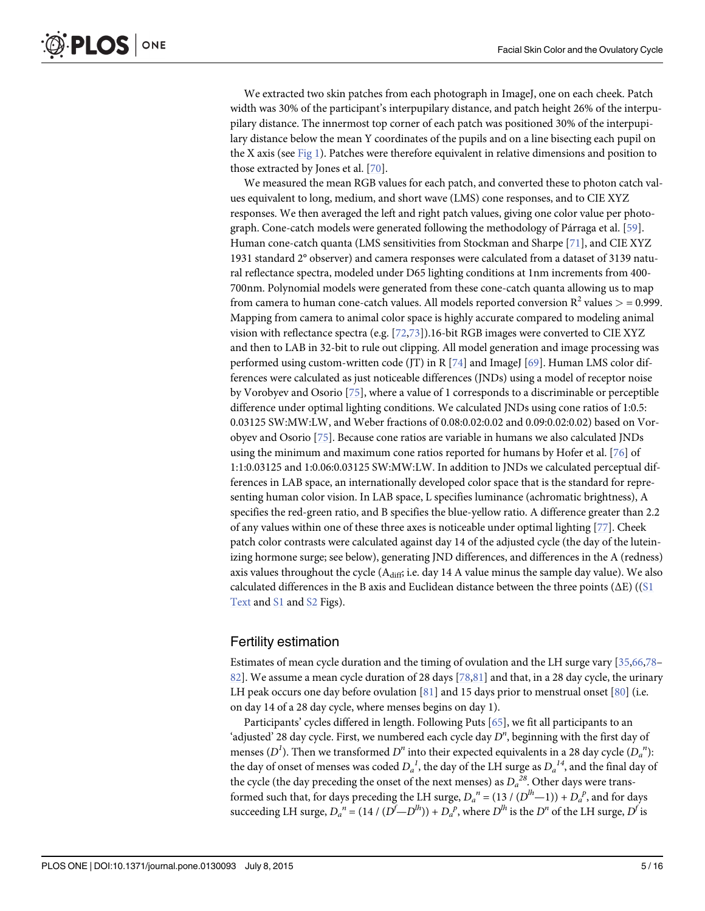<span id="page-4-0"></span>We extracted two skin patches from each photograph in ImageJ, one on each cheek. Patch width was 30% of the participant's interpupilary distance, and patch height 26% of the interpupilary distance. The innermost top corner of each patch was positioned 30% of the interpupilary distance below the mean Y coordinates of the pupils and on a line bisecting each pupil on the X axis (see [Fig 1\)](#page-6-0). Patches were therefore equivalent in relative dimensions and position to those extracted by Jones et al. [[70](#page-14-0)].

We measured the mean RGB values for each patch, and converted these to photon catch values equivalent to long, medium, and short wave (LMS) cone responses, and to CIE XYZ responses. We then averaged the left and right patch values, giving one color value per photograph. Cone-catch models were generated following the methodology of Párraga et al. [\[59](#page-13-0)]. Human cone-catch quanta (LMS sensitivities from Stockman and Sharpe [[71](#page-14-0)], and CIE XYZ 1931 standard 2° observer) and camera responses were calculated from a dataset of 3139 natural reflectance spectra, modeled under D65 lighting conditions at 1nm increments from 400- 700nm. Polynomial models were generated from these cone-catch quanta allowing us to map from camera to human cone-catch values. All models reported conversion  $R^2$  values  $>$  = 0.999. Mapping from camera to animal color space is highly accurate compared to modeling animal vision with reflectance spectra (e.g. [[72,73\]](#page-14-0)).16-bit RGB images were converted to CIE XYZ and then to LAB in 32-bit to rule out clipping. All model generation and image processing was performed using custom-written code (JT) in R  $[74]$  $[74]$  $[74]$  and ImageJ  $[69]$  $[69]$  $[69]$ . Human LMS color differences were calculated as just noticeable differences (JNDs) using a model of receptor noise by Vorobyev and Osorio [\[75\]](#page-14-0), where a value of 1 corresponds to a discriminable or perceptible difference under optimal lighting conditions. We calculated JNDs using cone ratios of 1:0.5: 0.03125 SW:MW:LW, and Weber fractions of 0.08:0.02:0.02 and 0.09:0.02:0.02) based on Vorobyev and Osorio [[75](#page-14-0)]. Because cone ratios are variable in humans we also calculated JNDs using the minimum and maximum cone ratios reported for humans by Hofer et al. [[76](#page-14-0)] of 1:1:0.03125 and 1:0.06:0.03125 SW:MW:LW. In addition to JNDs we calculated perceptual differences in LAB space, an internationally developed color space that is the standard for representing human color vision. In LAB space, L specifies luminance (achromatic brightness), A specifies the red-green ratio, and B specifies the blue-yellow ratio. A difference greater than 2.2 of any values within one of these three axes is noticeable under optimal lighting [[77](#page-14-0)]. Cheek patch color contrasts were calculated against day 14 of the adjusted cycle (the day of the luteinizing hormone surge; see below), generating JND differences, and differences in the A (redness) axis values throughout the cycle  $(A_{diff}$  i.e. day 14 A value minus the sample day value). We also calculated differences in the B axis and Euclidean distance between the three points  $(\Delta E)$  ([\(S1](#page-10-0)) [Text](#page-10-0) and S<sub>1</sub> and S<sub>2</sub> Figs).

#### Fertility estimation

Estimates of mean cycle duration and the timing of ovulation and the LH surge vary [\[35](#page-12-0)[,66,](#page-13-0)[78](#page-14-0)–  $82$ ]. We assume a mean cycle duration of 28 days [\[78,81](#page-14-0)] and that, in a 28 day cycle, the urinary LH peak occurs one day before ovulation  $[81]$  $[81]$  $[81]$  and 15 days prior to menstrual onset  $[80]$  $[80]$  $[80]$  (i.e. on day 14 of a 28 day cycle, where menses begins on day 1).

Participants' cycles differed in length. Following Puts [\[65\]](#page-13-0), we fit all participants to an 'adjusted' 28 day cycle. First, we numbered each cycle day  $D<sup>n</sup>$ , beginning with the first day of menses  $(D^1)$ . Then we transformed  $D^n$  into their expected equivalents in a 28 day cycle  $(D_a^{\phantom{a}n})$ : the day of onset of menses was coded  $D_a^{\;\;l}$ , the day of the LH surge as  $D_a^{\;\;l4}$ , and the final day of the cycle (the day preceding the onset of the next menses) as  $D_a^{28}$ . Other days were transformed such that, for days preceding the LH surge,  $D_a^{\ n}$  = (13 / ( $D^{lh}-1$ )) +  $D_a^{\ p}$ , and for days succeeding LH surge,  $D_a^{\;\;n}$  = (14 / ( $D^f$ — $D^{lh}$ )) +  $D_a^{\;\;p}$ , where  $D^{lh}$  is the  $D^n$  of the LH surge,  $D^f$  is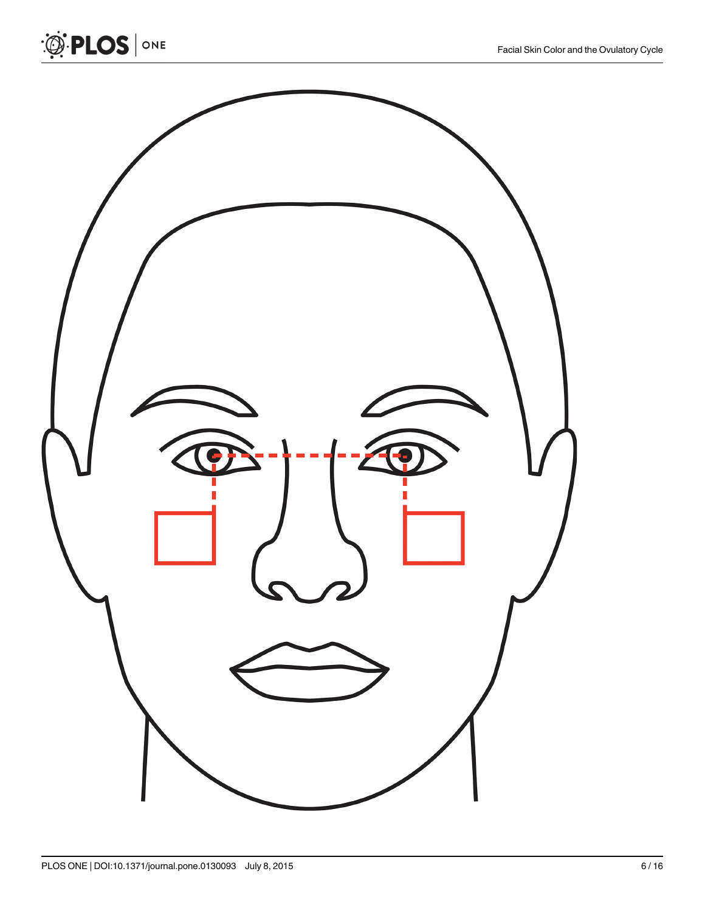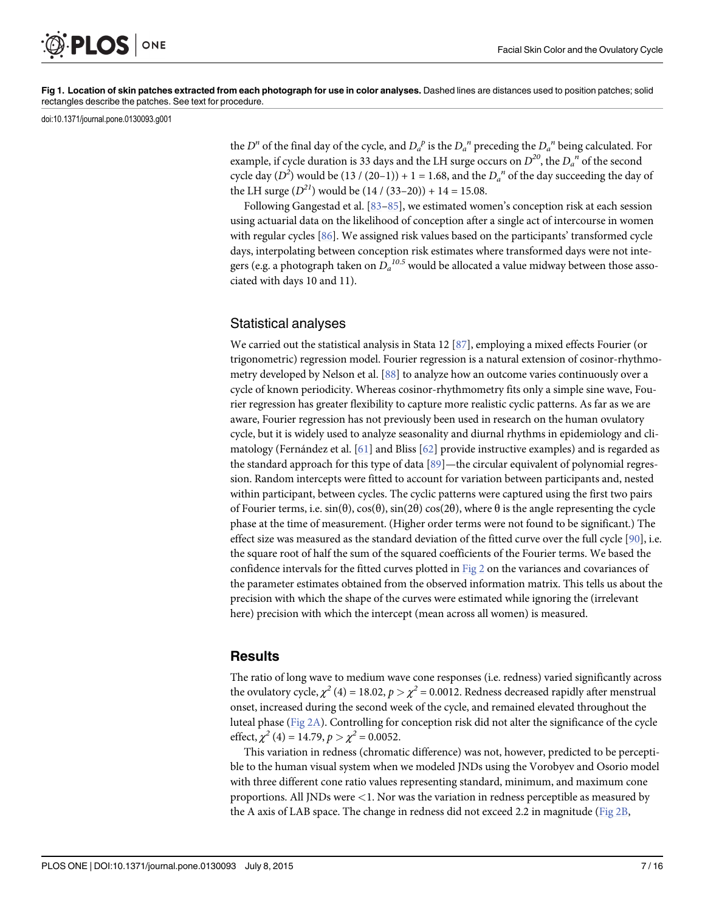<span id="page-6-0"></span>[Fig 1. L](#page-4-0)ocation of skin patches extracted from each photograph for use in color analyses. Dashed lines are distances used to position patches; solid rectangles describe the patches. See text for procedure.

#### doi:10.1371/journal.pone.0130093.g001

the  $D^n$  of the final day of the cycle, and  $D_a^{\ p}$  is the  $D_a^{\ n}$  preceding the  $D_a^{\ n}$  being calculated. For example, if cycle duration is 33 days and the LH surge occurs on  $D^{20}$ , the  $D_a^{\;\;n}$  of the second cycle day  $(D^2)$  would be  $(13 / (20-1)) + 1 = 1.68$ , and the  $D_a^{\{n\}}$  of the day succeeding the day of the LH surge  $(D^{21})$  would be  $(14 / (33-20)) + 14 = 15.08$ .

Following Gangestad et al. [\[83](#page-14-0)–[85](#page-14-0)], we estimated women's conception risk at each session using actuarial data on the likelihood of conception after a single act of intercourse in women with regular cycles [\[86\]](#page-14-0). We assigned risk values based on the participants' transformed cycle days, interpolating between conception risk estimates where transformed days were not integers (e.g. a photograph taken on  $D_a^{\;\;10.5}$  would be allocated a value midway between those associated with days 10 and 11).

#### Statistical analyses

We carried out the statistical analysis in Stata 12 [[87\]](#page-14-0), employing a mixed effects Fourier (or trigonometric) regression model. Fourier regression is a natural extension of cosinor-rhythmometry developed by Nelson et al. [\[88](#page-14-0)] to analyze how an outcome varies continuously over a cycle of known periodicity. Whereas cosinor-rhythmometry fits only a simple sine wave, Fourier regression has greater flexibility to capture more realistic cyclic patterns. As far as we are aware, Fourier regression has not previously been used in research on the human ovulatory cycle, but it is widely used to analyze seasonality and diurnal rhythms in epidemiology and climatology (Fernández et al. [[61\]](#page-13-0) and Bliss [\[62\]](#page-13-0) provide instructive examples) and is regarded as the standard approach for this type of data [[89](#page-14-0)]—the circular equivalent of polynomial regression. Random intercepts were fitted to account for variation between participants and, nested within participant, between cycles. The cyclic patterns were captured using the first two pairs of Fourier terms, i.e. sin(θ), cos(θ), sin(2θ) cos(2θ), where θ is the angle representing the cycle phase at the time of measurement. (Higher order terms were not found to be significant.) The effect size was measured as the standard deviation of the fitted curve over the full cycle [\[90\]](#page-14-0), i.e. the square root of half the sum of the squared coefficients of the Fourier terms. We based the confidence intervals for the fitted curves plotted in [Fig 2](#page-8-0) on the variances and covariances of the parameter estimates obtained from the observed information matrix. This tells us about the precision with which the shape of the curves were estimated while ignoring the (irrelevant here) precision with which the intercept (mean across all women) is measured.

#### **Results**

The ratio of long wave to medium wave cone responses (i.e. redness) varied significantly across the ovulatory cycle,  $\chi^2$  (4) = 18.02,  $p > \chi^2$  = 0.0012. Redness decreased rapidly after menstrual onset, increased during the second week of the cycle, and remained elevated throughout the luteal phase [\(Fig 2A\)](#page-8-0). Controlling for conception risk did not alter the significance of the cycle effect,  $\chi^2$  (4) = 14.79,  $p > \chi^2$  = 0.0052.

This variation in redness (chromatic difference) was not, however, predicted to be perceptible to the human visual system when we modeled JNDs using the Vorobyev and Osorio model with three different cone ratio values representing standard, minimum, and maximum cone proportions. All JNDs were <1. Nor was the variation in redness perceptible as measured by the A axis of LAB space. The change in redness did not exceed 2.2 in magnitude [\(Fig 2B,](#page-8-0)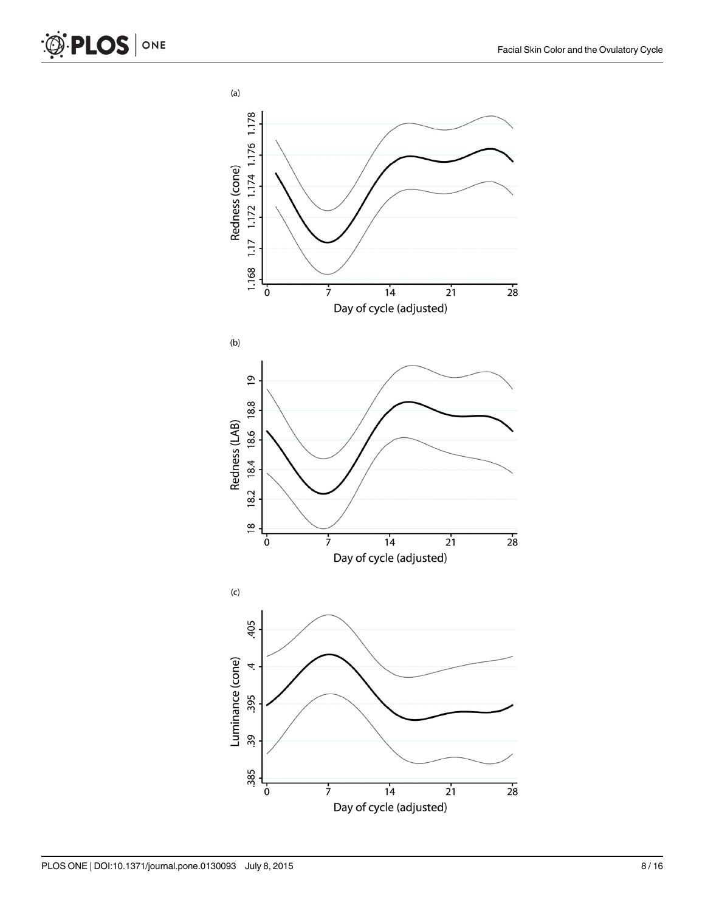

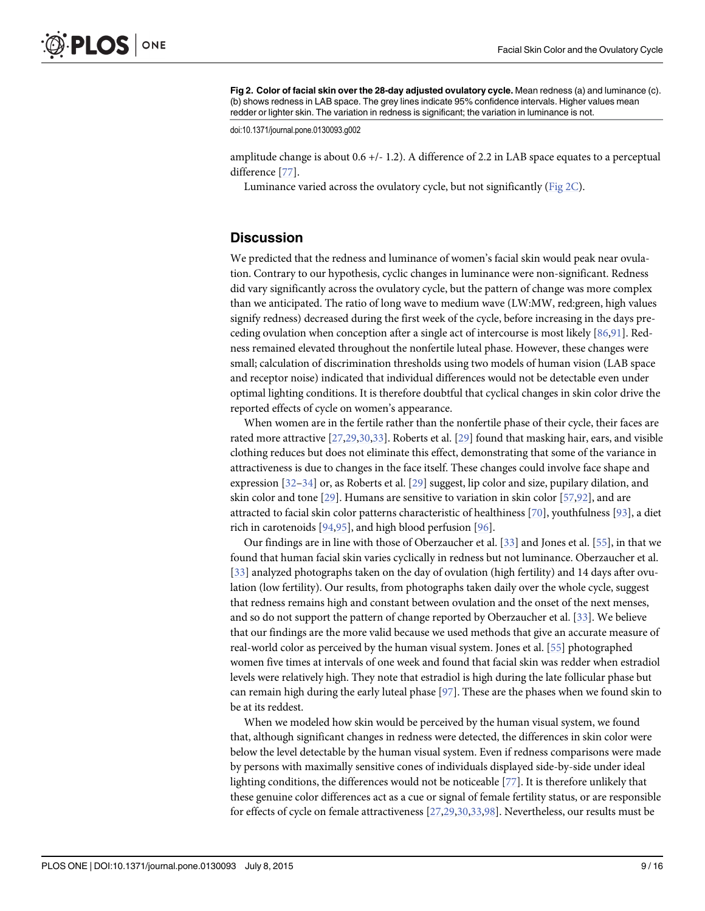<span id="page-8-0"></span>[Fig 2. C](#page-6-0)olor of facial skin over the 28-day adjusted ovulatory cycle. Mean redness (a) and luminance (c). (b) shows redness in LAB space. The grey lines indicate 95% confidence intervals. Higher values mean redder or lighter skin. The variation in redness is significant; the variation in luminance is not.

doi:10.1371/journal.pone.0130093.g002

amplitude change is about 0.6 +/- 1.2). A difference of 2.2 in LAB space equates to a perceptual difference [\[77\]](#page-14-0).

Luminance varied across the ovulatory cycle, but not significantly ( $Fig 2C$ ).

#### **Discussion**

We predicted that the redness and luminance of women's facial skin would peak near ovulation. Contrary to our hypothesis, cyclic changes in luminance were non-significant. Redness did vary significantly across the ovulatory cycle, but the pattern of change was more complex than we anticipated. The ratio of long wave to medium wave (LW:MW, red:green, high values signify redness) decreased during the first week of the cycle, before increasing in the days preceding ovulation when conception after a single act of intercourse is most likely [[86](#page-14-0),[91](#page-14-0)]. Redness remained elevated throughout the nonfertile luteal phase. However, these changes were small; calculation of discrimination thresholds using two models of human vision (LAB space and receptor noise) indicated that individual differences would not be detectable even under optimal lighting conditions. It is therefore doubtful that cyclical changes in skin color drive the reported effects of cycle on women's appearance.

When women are in the fertile rather than the nonfertile phase of their cycle, their faces are rated more attractive [\[27,29,30,33](#page-12-0)]. Roberts et al. [\[29\]](#page-12-0) found that masking hair, ears, and visible clothing reduces but does not eliminate this effect, demonstrating that some of the variance in attractiveness is due to changes in the face itself. These changes could involve face shape and expression [[32](#page-12-0)–[34](#page-12-0)] or, as Roberts et al. [\[29\]](#page-12-0) suggest, lip color and size, pupilary dilation, and skin color and tone [[29](#page-12-0)]. Humans are sensitive to variation in skin color [\[57](#page-13-0)[,92\]](#page-15-0), and are attracted to facial skin color patterns characteristic of healthiness [[70](#page-14-0)], youthfulness [[93](#page-15-0)], a diet rich in carotenoids [\[94,95](#page-15-0)], and high blood perfusion [[96\]](#page-15-0).

Our findings are in line with those of Oberzaucher et al.  $[33]$  $[33]$  $[33]$  and Jones et al.  $[55]$  $[55]$  $[55]$ , in that we found that human facial skin varies cyclically in redness but not luminance. Oberzaucher et al. [\[33](#page-12-0)] analyzed photographs taken on the day of ovulation (high fertility) and 14 days after ovulation (low fertility). Our results, from photographs taken daily over the whole cycle, suggest that redness remains high and constant between ovulation and the onset of the next menses, and so do not support the pattern of change reported by Oberzaucher et al. [\[33\]](#page-12-0). We believe that our findings are the more valid because we used methods that give an accurate measure of real-world color as perceived by the human visual system. Jones et al. [\[55\]](#page-13-0) photographed women five times at intervals of one week and found that facial skin was redder when estradiol levels were relatively high. They note that estradiol is high during the late follicular phase but can remain high during the early luteal phase [\[97\]](#page-15-0). These are the phases when we found skin to be at its reddest.

When we modeled how skin would be perceived by the human visual system, we found that, although significant changes in redness were detected, the differences in skin color were below the level detectable by the human visual system. Even if redness comparisons were made by persons with maximally sensitive cones of individuals displayed side-by-side under ideal lighting conditions, the differences would not be noticeable [\[77\]](#page-14-0). It is therefore unlikely that these genuine color differences act as a cue or signal of female fertility status, or are responsible for effects of cycle on female attractiveness [[27,29,30,33,](#page-12-0)[98](#page-15-0)]. Nevertheless, our results must be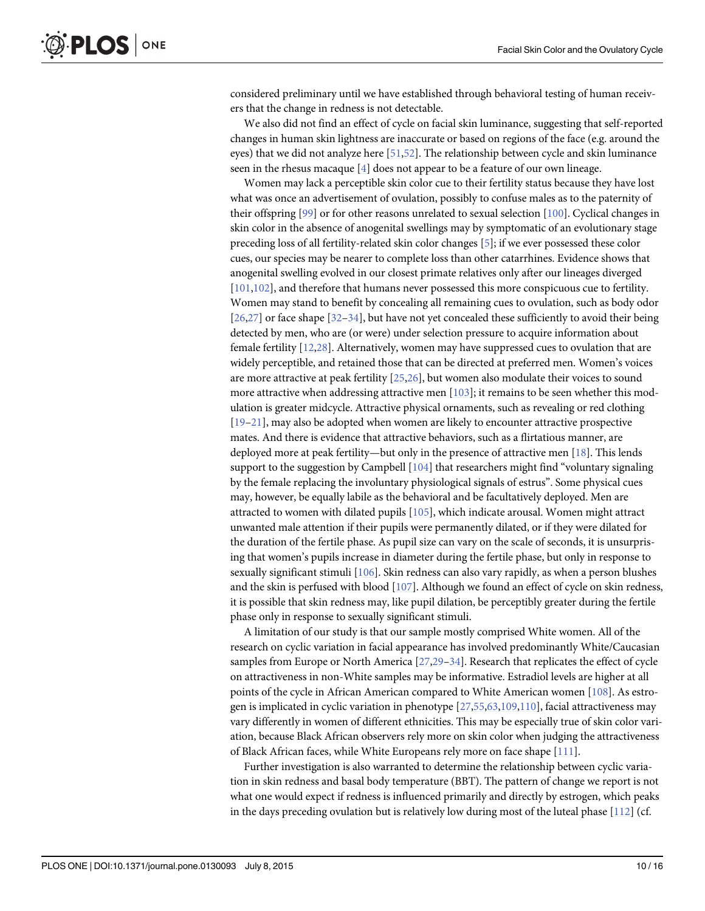<span id="page-9-0"></span>considered preliminary until we have established through behavioral testing of human receivers that the change in redness is not detectable.

We also did not find an effect of cycle on facial skin luminance, suggesting that self-reported changes in human skin lightness are inaccurate or based on regions of the face (e.g. around the eyes) that we did not analyze here [[51,52](#page-13-0)]. The relationship between cycle and skin luminance seen in the rhesus macaque  $[4]$  $[4]$  $[4]$  does not appear to be a feature of our own lineage.

Women may lack a perceptible skin color cue to their fertility status because they have lost what was once an advertisement of ovulation, possibly to confuse males as to the paternity of their offspring [[99](#page-15-0)] or for other reasons unrelated to sexual selection [\[100\]](#page-15-0). Cyclical changes in skin color in the absence of anogenital swellings may by symptomatic of an evolutionary stage preceding loss of all fertility-related skin color changes [[5](#page-11-0)]; if we ever possessed these color cues, our species may be nearer to complete loss than other catarrhines. Evidence shows that anogenital swelling evolved in our closest primate relatives only after our lineages diverged [\[101,102](#page-15-0)], and therefore that humans never possessed this more conspicuous cue to fertility. Women may stand to benefit by concealing all remaining cues to ovulation, such as body odor [\[26,27\]](#page-12-0) or face shape [[32](#page-12-0)–[34\]](#page-12-0), but have not yet concealed these sufficiently to avoid their being detected by men, who are (or were) under selection pressure to acquire information about female fertility [\[12,](#page-11-0)[28\]](#page-12-0). Alternatively, women may have suppressed cues to ovulation that are widely perceptible, and retained those that can be directed at preferred men. Women's voices are more attractive at peak fertility [[25,26](#page-12-0)], but women also modulate their voices to sound more attractive when addressing attractive men  $[103]$  $[103]$ ; it remains to be seen whether this modulation is greater midcycle. Attractive physical ornaments, such as revealing or red clothing [\[19](#page-11-0)–[21\]](#page-12-0), may also be adopted when women are likely to encounter attractive prospective mates. And there is evidence that attractive behaviors, such as a flirtatious manner, are deployed more at peak fertility—but only in the presence of attractive men [[18](#page-11-0)]. This lends support to the suggestion by Campbell [\[104\]](#page-15-0) that researchers might find "voluntary signaling by the female replacing the involuntary physiological signals of estrus". Some physical cues may, however, be equally labile as the behavioral and be facultatively deployed. Men are attracted to women with dilated pupils [\[105\]](#page-15-0), which indicate arousal. Women might attract unwanted male attention if their pupils were permanently dilated, or if they were dilated for the duration of the fertile phase. As pupil size can vary on the scale of seconds, it is unsurprising that women's pupils increase in diameter during the fertile phase, but only in response to sexually significant stimuli [[106](#page-15-0)]. Skin redness can also vary rapidly, as when a person blushes and the skin is perfused with blood [[107](#page-15-0)]. Although we found an effect of cycle on skin redness, it is possible that skin redness may, like pupil dilation, be perceptibly greater during the fertile phase only in response to sexually significant stimuli.

A limitation of our study is that our sample mostly comprised White women. All of the research on cyclic variation in facial appearance has involved predominantly White/Caucasian samples from Europe or North America  $[27,29-34]$  $[27,29-34]$  $[27,29-34]$  $[27,29-34]$  $[27,29-34]$ . Research that replicates the effect of cycle on attractiveness in non-White samples may be informative. Estradiol levels are higher at all points of the cycle in African American compared to White American women [[108](#page-15-0)]. As estrogen is implicated in cyclic variation in phenotype [[27](#page-12-0)[,55,63,](#page-13-0)[109,110\]](#page-15-0), facial attractiveness may vary differently in women of different ethnicities. This may be especially true of skin color variation, because Black African observers rely more on skin color when judging the attractiveness of Black African faces, while White Europeans rely more on face shape [\[111\]](#page-15-0).

Further investigation is also warranted to determine the relationship between cyclic variation in skin redness and basal body temperature (BBT). The pattern of change we report is not what one would expect if redness is influenced primarily and directly by estrogen, which peaks in the days preceding ovulation but is relatively low during most of the luteal phase  $[112]$  (cf.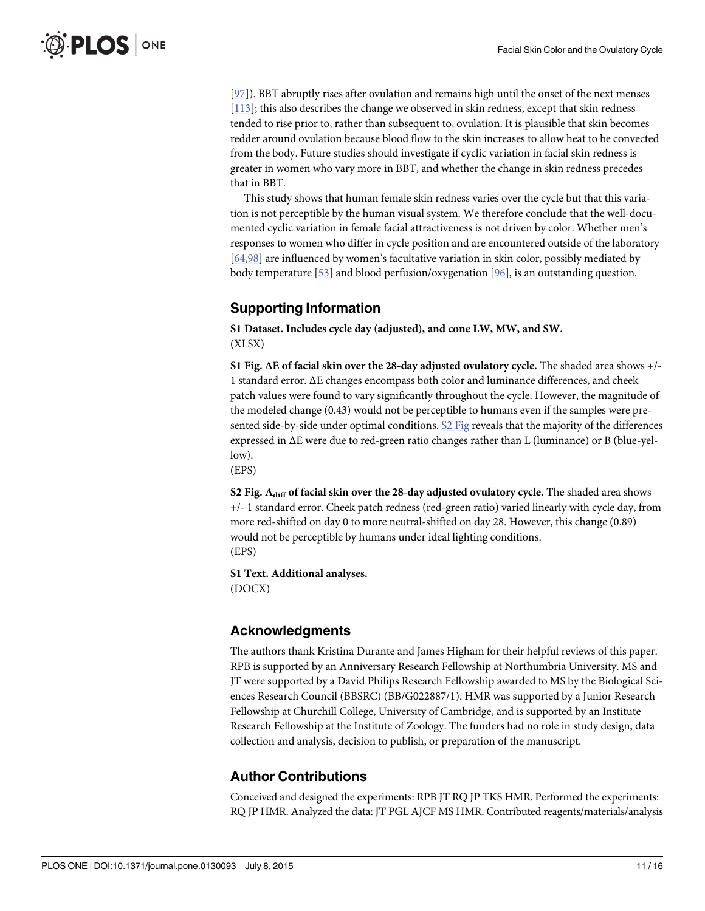<span id="page-10-0"></span>[\[97](#page-15-0)]). BBT abruptly rises after ovulation and remains high until the onset of the next menses [\[113\]](#page-15-0); this also describes the change we observed in skin redness, except that skin redness tended to rise prior to, rather than subsequent to, ovulation. It is plausible that skin becomes redder around ovulation because blood flow to the skin increases to allow heat to be convected from the body. Future studies should investigate if cyclic variation in facial skin redness is greater in women who vary more in BBT, and whether the change in skin redness precedes that in BBT.

This study shows that human female skin redness varies over the cycle but that this variation is not perceptible by the human visual system. We therefore conclude that the well-documented cyclic variation in female facial attractiveness is not driven by color. Whether men's responses to women who differ in cycle position and are encountered outside of the laboratory [\[64](#page-13-0)[,98\]](#page-15-0) are influenced by women's facultative variation in skin color, possibly mediated by body temperature [\[53](#page-13-0)] and blood perfusion/oxygenation [\[96](#page-15-0)], is an outstanding question.

# Supporting Information

[S1 Dataset.](http://www.plosone.org/article/fetchSingleRepresentation.action?uri=info:doi/10.1371/journal.pone.0130093.s001) Includes cycle day (adjusted), and cone LW, MW, and SW. (XLSX)

[S1 Fig.](http://www.plosone.org/article/fetchSingleRepresentation.action?uri=info:doi/10.1371/journal.pone.0130093.s002) ΔE of facial skin over the 28-day adjusted ovulatory cycle. The shaded area shows +/- 1 standard error. ΔE changes encompass both color and luminance differences, and cheek patch values were found to vary significantly throughout the cycle. However, the magnitude of the modeled change (0.43) would not be perceptible to humans even if the samples were presented side-by-side under optimal conditions. S2 Fig reveals that the majority of the differences expressed in ΔE were due to red-green ratio changes rather than L (luminance) or B (blue-yellow).

(EPS)

[S2 Fig.](http://www.plosone.org/article/fetchSingleRepresentation.action?uri=info:doi/10.1371/journal.pone.0130093.s003) A<sub>diff</sub> of facial skin over the 28-day adjusted ovulatory cycle. The shaded area shows +/- 1 standard error. Cheek patch redness (red-green ratio) varied linearly with cycle day, from more red-shifted on day 0 to more neutral-shifted on day 28. However, this change (0.89) would not be perceptible by humans under ideal lighting conditions. (EPS)

[S1 Text.](http://www.plosone.org/article/fetchSingleRepresentation.action?uri=info:doi/10.1371/journal.pone.0130093.s004) Additional analyses. (DOCX)

# Acknowledgments

The authors thank Kristina Durante and James Higham for their helpful reviews of this paper. RPB is supported by an Anniversary Research Fellowship at Northumbria University. MS and JT were supported by a David Philips Research Fellowship awarded to MS by the Biological Sciences Research Council (BBSRC) (BB/G022887/1). HMR was supported by a Junior Research Fellowship at Churchill College, University of Cambridge, and is supported by an Institute Research Fellowship at the Institute of Zoology. The funders had no role in study design, data collection and analysis, decision to publish, or preparation of the manuscript.

## Author Contributions

Conceived and designed the experiments: RPB JT RQ JP TKS HMR. Performed the experiments: RQ JP HMR. Analyzed the data: JT PGL AJCF MS HMR. Contributed reagents/materials/analysis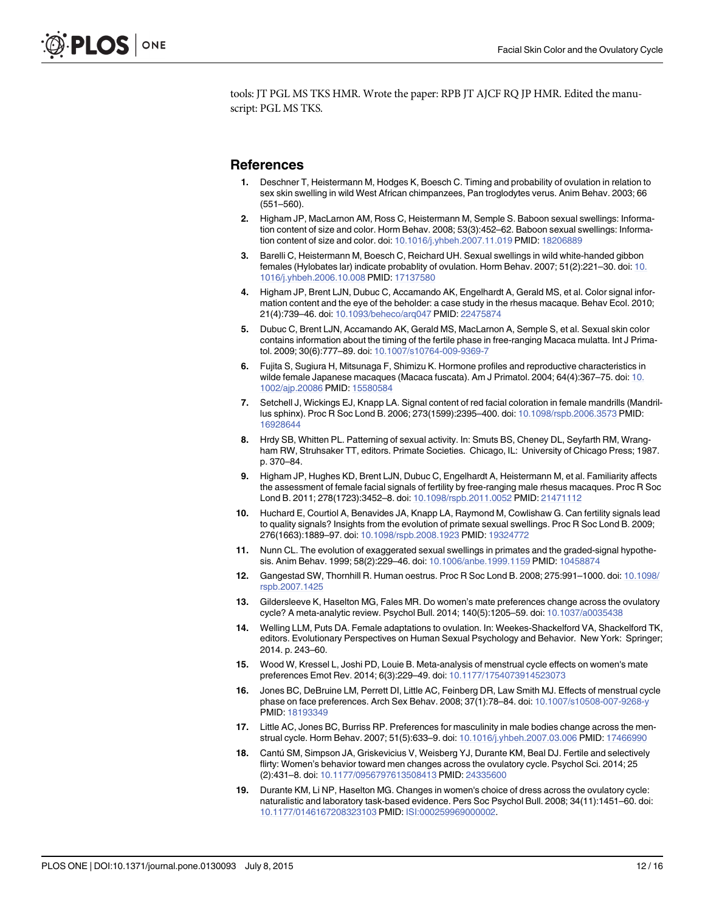<span id="page-11-0"></span>tools: JT PGL MS TKS HMR. Wrote the paper: RPB JT AJCF RQ JP HMR. Edited the manuscript: PGL MS TKS.

#### **References**

- Deschner T, Heistermann M, Hodges K, Boesch C. Timing and probability of ovulation in relation to sex skin swelling in wild West African chimpanzees, Pan troglodytes verus. Anim Behav. 2003; 66 (551–560).
- 2. Higham JP, MacLarnon AM, Ross C, Heistermann M, Semple S. Baboon sexual swellings: Information content of size and color. Horm Behav. 2008; 53(3):452–62. Baboon sexual swellings: Information content of size and color. doi: [10.1016/j.yhbeh.2007.11.019](http://dx.doi.org/10.1016/j.yhbeh.2007.11.019) PMID: [18206889](http://www.ncbi.nlm.nih.gov/pubmed/18206889)
- [3.](#page-0-0) Barelli C, Heistermann M, Boesch C, Reichard UH. Sexual swellings in wild white-handed gibbon females (Hylobates lar) indicate probablity of ovulation. Horm Behav. 2007; 51(2):221–30. doi: [10.](http://dx.doi.org/10.1016/j.yhbeh.2006.10.008) [1016/j.yhbeh.2006.10.008](http://dx.doi.org/10.1016/j.yhbeh.2006.10.008) PMID: [17137580](http://www.ncbi.nlm.nih.gov/pubmed/17137580)
- [4.](#page-0-0) Higham JP, Brent LJN, Dubuc C, Accamando AK, Engelhardt A, Gerald MS, et al. Color signal information content and the eye of the beholder: a case study in the rhesus macaque. Behav Ecol. 2010; 21(4):739–46. doi: [10.1093/beheco/arq047](http://dx.doi.org/10.1093/beheco/arq047) PMID: [22475874](http://www.ncbi.nlm.nih.gov/pubmed/22475874)
- [5.](#page-2-0) Dubuc C, Brent LJN, Accamando AK, Gerald MS, MacLarnon A, Semple S, et al. Sexual skin color contains information about the timing of the fertile phase in free-ranging Macaca mulatta. Int J Primatol. 2009; 30(6):777–89. doi: [10.1007/s10764-009-9369-7](http://dx.doi.org/10.1007/s10764-009-9369-7)
- 6. Fujita S, Sugiura H, Mitsunaga F, Shimizu K. Hormone profiles and reproductive characteristics in wilde female Japanese macaques (Macaca fuscata). Am J Primatol. 2004; 64(4):367–75. doi: [10.](http://dx.doi.org/10.1002/ajp.20086) [1002/ajp.20086](http://dx.doi.org/10.1002/ajp.20086) PMID: [15580584](http://www.ncbi.nlm.nih.gov/pubmed/15580584)
- [7.](#page-0-0) Setchell J, Wickings EJ, Knapp LA. Signal content of red facial coloration in female mandrills (Mandrillus sphinx). Proc R Soc Lond B. 2006; 273(1599):2395–400. doi: [10.1098/rspb.2006.3573](http://dx.doi.org/10.1098/rspb.2006.3573) PMID: [16928644](http://www.ncbi.nlm.nih.gov/pubmed/16928644)
- [8.](#page-0-0) Hrdy SB, Whitten PL. Patterning of sexual activity. In: Smuts BS, Cheney DL, Seyfarth RM, Wrangham RW, Struhsaker TT, editors. Primate Societies. Chicago, IL: University of Chicago Press; 1987. p. 370–84.
- 9. Higham JP, Hughes KD, Brent LJN, Dubuc C, Engelhardt A, Heistermann M, et al. Familiarity affects the assessment of female facial signals of fertility by free-ranging male rhesus macaques. Proc R Soc Lond B. 2011; 278(1723):3452–8. doi: [10.1098/rspb.2011.0052](http://dx.doi.org/10.1098/rspb.2011.0052) PMID: [21471112](http://www.ncbi.nlm.nih.gov/pubmed/21471112)
- [10.](#page-0-0) Huchard E, Courtiol A, Benavides JA, Knapp LA, Raymond M, Cowlishaw G. Can fertility signals lead to quality signals? Insights from the evolution of primate sexual swellings. Proc R Soc Lond B. 2009; 276(1663):1889–97. doi: [10.1098/rspb.2008.1923](http://dx.doi.org/10.1098/rspb.2008.1923) PMID: [19324772](http://www.ncbi.nlm.nih.gov/pubmed/19324772)
- [11.](#page-0-0) Nunn CL. The evolution of exaggerated sexual swellings in primates and the graded-signal hypothesis. Anim Behav. 1999; 58(2):229–46. doi: [10.1006/anbe.1999.1159](http://dx.doi.org/10.1006/anbe.1999.1159) PMID: [10458874](http://www.ncbi.nlm.nih.gov/pubmed/10458874)
- [12.](#page-0-0) Gangestad SW, Thornhill R. Human oestrus. Proc R Soc Lond B. 2008; 275:991–1000. doi: [10.1098/](http://dx.doi.org/10.1098/rspb.2007.1425) [rspb.2007.1425](http://dx.doi.org/10.1098/rspb.2007.1425)
- 13. Gildersleeve K, Haselton MG, Fales MR. Do women's mate preferences change across the ovulatory cycle? A meta-analytic review. Psychol Bull. 2014; 140(5):1205–59. doi: [10.1037/a0035438](http://dx.doi.org/10.1037/a0035438)
- [14.](#page-0-0) Welling LLM, Puts DA. Female adaptations to ovulation. In: Weekes-Shackelford VA, Shackelford TK, editors. Evolutionary Perspectives on Human Sexual Psychology and Behavior. New York: Springer; 2014. p. 243–60.
- [15.](#page-0-0) Wood W, Kressel L, Joshi PD, Louie B. Meta-analysis of menstrual cycle effects on women's mate preferences Emot Rev. 2014; 6(3):229–49. doi: [10.1177/1754073914523073](http://dx.doi.org/10.1177/1754073914523073)
- [16.](#page-0-0) Jones BC, DeBruine LM, Perrett DI, Little AC, Feinberg DR, Law Smith MJ. Effects of menstrual cycle phase on face preferences. Arch Sex Behav. 2008; 37(1):78–84. doi: [10.1007/s10508-007-9268-y](http://dx.doi.org/10.1007/s10508-007-9268-y) PMID: [18193349](http://www.ncbi.nlm.nih.gov/pubmed/18193349)
- [17.](#page-0-0) Little AC, Jones BC, Burriss RP. Preferences for masculinity in male bodies change across the menstrual cycle. Horm Behav. 2007; 51(5):633–9. doi: [10.1016/j.yhbeh.2007.03.006](http://dx.doi.org/10.1016/j.yhbeh.2007.03.006) PMID: [17466990](http://www.ncbi.nlm.nih.gov/pubmed/17466990)
- [18.](#page-0-0) Cantú SM, Simpson JA, Griskevicius V, Weisberg YJ, Durante KM, Beal DJ. Fertile and selectively flirty: Women's behavior toward men changes across the ovulatory cycle. Psychol Sci. 2014; 25 (2):431–8. doi: [10.1177/0956797613508413](http://dx.doi.org/10.1177/0956797613508413) PMID: [24335600](http://www.ncbi.nlm.nih.gov/pubmed/24335600)
- [19.](#page-1-0) Durante KM, Li NP, Haselton MG. Changes in women's choice of dress across the ovulatory cycle: naturalistic and laboratory task-based evidence. Pers Soc Psychol Bull. 2008; 34(11):1451–60. doi: [10.1177/0146167208323103](http://dx.doi.org/10.1177/0146167208323103) PMID: [ISI:000259969000002](http://www.ncbi.nlm.nih.gov/pubmed/ISI:000259969000002).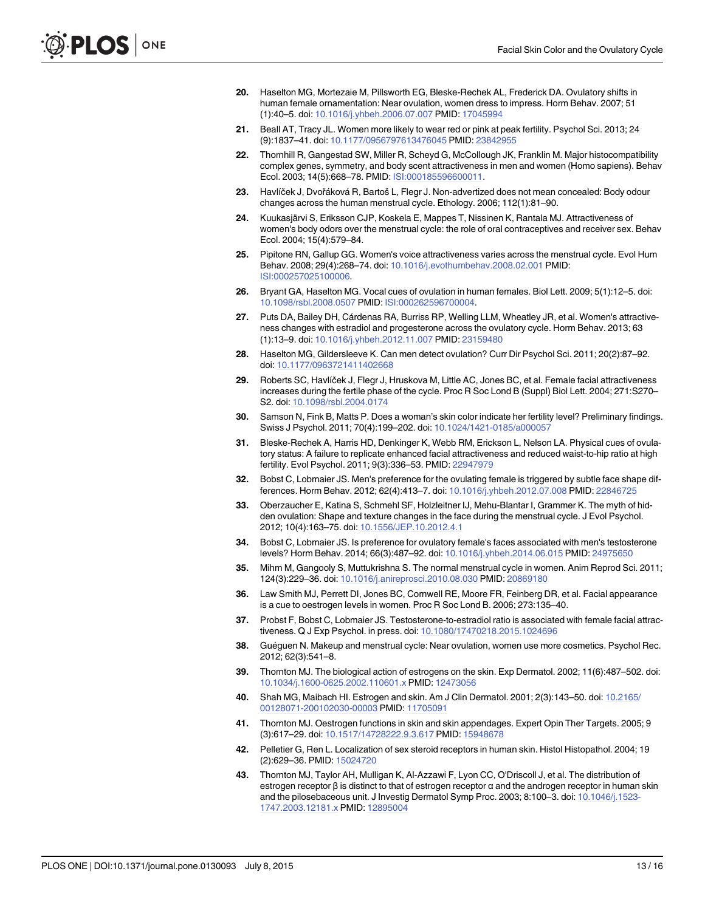- <span id="page-12-0"></span>20. Haselton MG, Mortezaie M, Pillsworth EG, Bleske-Rechek AL, Frederick DA. Ovulatory shifts in human female ornamentation: Near ovulation, women dress to impress. Horm Behav. 2007; 51 (1):40–5. doi: [10.1016/j.yhbeh.2006.07.007](http://dx.doi.org/10.1016/j.yhbeh.2006.07.007) PMID: [17045994](http://www.ncbi.nlm.nih.gov/pubmed/17045994)
- [21.](#page-1-0) Beall AT, Tracy JL. Women more likely to wear red or pink at peak fertility. Psychol Sci. 2013; 24 (9):1837–41. doi: [10.1177/0956797613476045](http://dx.doi.org/10.1177/0956797613476045) PMID: [23842955](http://www.ncbi.nlm.nih.gov/pubmed/23842955)
- [22.](#page-1-0) Thornhill R, Gangestad SW, Miller R, Scheyd G, McCollough JK, Franklin M. Major histocompatibility complex genes, symmetry, and body scent attractiveness in men and women (Homo sapiens). Behav Ecol. 2003; 14(5):668–78. PMID: [ISI:000185596600011](http://www.ncbi.nlm.nih.gov/pubmed/ISI:000185596600011).
- 23. Havlíček J, Dvořáková R, Bartoš L, Flegr J. Non-advertized does not mean concealed: Body odour changes across the human menstrual cycle. Ethology. 2006; 112(1):81–90.
- [24.](#page-1-0) Kuukasjärvi S, Eriksson CJP, Koskela E, Mappes T, Nissinen K, Rantala MJ. Attractiveness of women's body odors over the menstrual cycle: the role of oral contraceptives and receiver sex. Behav Ecol. 2004; 15(4):579–84.
- [25.](#page-1-0) Pipitone RN, Gallup GG. Women's voice attractiveness varies across the menstrual cycle. Evol Hum Behav. 2008; 29(4):268–74. doi: [10.1016/j.evothumbehav.2008.02.001](http://dx.doi.org/10.1016/j.evothumbehav.2008.02.001) PMID: [ISI:000257025100006.](http://www.ncbi.nlm.nih.gov/pubmed/ISI:000257025100006)
- [26.](#page-9-0) Bryant GA, Haselton MG. Vocal cues of ovulation in human females. Biol Lett. 2009; 5(1):12–5. doi: [10.1098/rsbl.2008.0507](http://dx.doi.org/10.1098/rsbl.2008.0507) PMID: [ISI:000262596700004](http://www.ncbi.nlm.nih.gov/pubmed/ISI:000262596700004).
- [27.](#page-1-0) Puts DA, Bailey DH, Cárdenas RA, Burriss RP, Welling LLM, Wheatley JR, et al. Women's attractiveness changes with estradiol and progesterone across the ovulatory cycle. Horm Behav. 2013; 63 (1):13–9. doi: [10.1016/j.yhbeh.2012.11.007](http://dx.doi.org/10.1016/j.yhbeh.2012.11.007) PMID: [23159480](http://www.ncbi.nlm.nih.gov/pubmed/23159480)
- [28.](#page-1-0) Haselton MG, Gildersleeve K. Can men detect ovulation? Curr Dir Psychol Sci. 2011; 20(2):87–92. doi: [10.1177/0963721411402668](http://dx.doi.org/10.1177/0963721411402668)
- [29.](#page-1-0) Roberts SC, Havlíček J, Flegr J, Hruskova M, Little AC, Jones BC, et al. Female facial attractiveness increases during the fertile phase of the cycle. Proc R Soc Lond B (Suppl) Biol Lett. 2004; 271:S270– S2. doi: [10.1098/rsbl.2004.0174](http://dx.doi.org/10.1098/rsbl.2004.0174)
- [30.](#page-1-0) Samson N, Fink B, Matts P. Does a woman's skin color indicate her fertility level? Preliminary findings. Swiss J Psychol. 2011; 70(4):199–202. doi: [10.1024/1421-0185/a000057](http://dx.doi.org/10.1024/1421-0185/a000057)
- [31.](#page-1-0) Bleske-Rechek A, Harris HD, Denkinger K, Webb RM, Erickson L, Nelson LA. Physical cues of ovulatory status: A failure to replicate enhanced facial attractiveness and reduced waist-to-hip ratio at high fertility. Evol Psychol. 2011; 9(3):336–53. PMID: [22947979](http://www.ncbi.nlm.nih.gov/pubmed/22947979)
- [32.](#page-1-0) Bobst C, Lobmaier JS. Men's preference for the ovulating female is triggered by subtle face shape differences. Horm Behav. 2012; 62(4):413–7. doi: [10.1016/j.yhbeh.2012.07.008](http://dx.doi.org/10.1016/j.yhbeh.2012.07.008) PMID: [22846725](http://www.ncbi.nlm.nih.gov/pubmed/22846725)
- [33.](#page-1-0) Oberzaucher E, Katina S, Schmehl SF, Holzleitner IJ, Mehu-Blantar I, Grammer K. The myth of hidden ovulation: Shape and texture changes in the face during the menstrual cycle. J Evol Psychol. 2012; 10(4):163–75. doi: [10.1556/JEP.10.2012.4.1](http://dx.doi.org/10.1556/JEP.10.2012.4.1)
- [34.](#page-1-0) Bobst C, Lobmaier JS. Is preference for ovulatory female's faces associated with men's testosterone levels? Horm Behav. 2014; 66(3):487–92. doi: [10.1016/j.yhbeh.2014.06.015](http://dx.doi.org/10.1016/j.yhbeh.2014.06.015) PMID: [24975650](http://www.ncbi.nlm.nih.gov/pubmed/24975650)
- [35.](#page-1-0) Mihm M, Gangooly S, Muttukrishna S. The normal menstrual cycle in women. Anim Reprod Sci. 2011; 124(3):229–36. doi: [10.1016/j.anireprosci.2010.08.030](http://dx.doi.org/10.1016/j.anireprosci.2010.08.030) PMID: [20869180](http://www.ncbi.nlm.nih.gov/pubmed/20869180)
- [36.](#page-1-0) Law Smith MJ, Perrett DI, Jones BC, Cornwell RE, Moore FR, Feinberg DR, et al. Facial appearance is a cue to oestrogen levels in women. Proc R Soc Lond B. 2006; 273:135–40.
- [37.](#page-1-0) Probst F, Bobst C, Lobmaier JS. Testosterone-to-estradiol ratio is associated with female facial attractiveness. Q J Exp Psychol. in press. doi: [10.1080/17470218.2015.1024696](http://dx.doi.org/10.1080/17470218.2015.1024696)
- [38.](#page-1-0) Guéguen N. Makeup and menstrual cycle: Near ovulation, women use more cosmetics. Psychol Rec. 2012; 62(3):541–8.
- [39.](#page-1-0) Thornton MJ. The biological action of estrogens on the skin. Exp Dermatol. 2002; 11(6):487–502. doi: [10.1034/j.1600-0625.2002.110601.x](http://dx.doi.org/10.1034/j.1600-0625.2002.110601.x) PMID: [12473056](http://www.ncbi.nlm.nih.gov/pubmed/12473056)
- 40. Shah MG, Maibach HI. Estrogen and skin. Am J Clin Dermatol. 2001; 2(3):143–50. doi: [10.2165/](http://dx.doi.org/10.2165/00128071-200102030-00003) [00128071-200102030-00003](http://dx.doi.org/10.2165/00128071-200102030-00003) PMID: [11705091](http://www.ncbi.nlm.nih.gov/pubmed/11705091)
- [41.](#page-1-0) Thornton MJ. Oestrogen functions in skin and skin appendages. Expert Opin Ther Targets. 2005; 9 (3):617–29. doi: [10.1517/14728222.9.3.617](http://dx.doi.org/10.1517/14728222.9.3.617) PMID: [15948678](http://www.ncbi.nlm.nih.gov/pubmed/15948678)
- [42.](#page-1-0) Pelletier G, Ren L. Localization of sex steroid receptors in human skin. Histol Histopathol. 2004; 19 (2):629–36. PMID: [15024720](http://www.ncbi.nlm.nih.gov/pubmed/15024720)
- [43.](#page-1-0) Thornton MJ, Taylor AH, Mulligan K, Al-Azzawi F, Lyon CC, O'Driscoll J, et al. The distribution of estrogen receptor β is distinct to that of estrogen receptor α and the androgen receptor in human skin and the pilosebaceous unit. J Investig Dermatol Symp Proc. 2003; 8:100-3. doi: [10.1046/j.1523-](http://dx.doi.org/10.1046/j.1523-1747.2003.12181.x) [1747.2003.12181.x](http://dx.doi.org/10.1046/j.1523-1747.2003.12181.x) PMID: [12895004](http://www.ncbi.nlm.nih.gov/pubmed/12895004)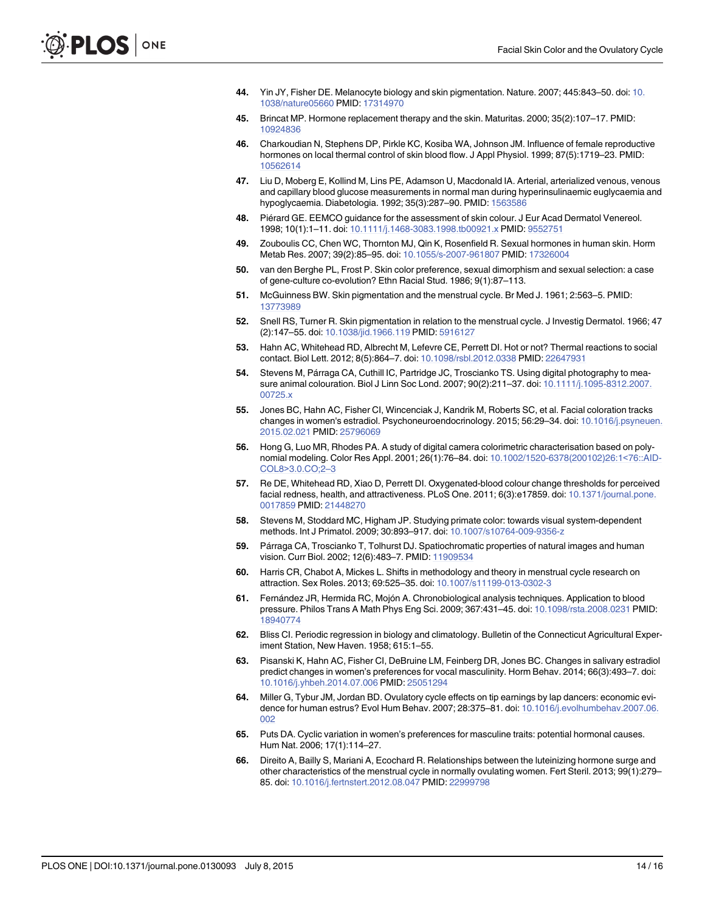- <span id="page-13-0"></span>[44.](#page-1-0) Yin JY, Fisher DE. Melanocyte biology and skin pigmentation. Nature. 2007; 445:843-50. doi: [10.](http://dx.doi.org/10.1038/nature05660) [1038/nature05660](http://dx.doi.org/10.1038/nature05660) PMID: [17314970](http://www.ncbi.nlm.nih.gov/pubmed/17314970)
- [45.](#page-1-0) Brincat MP. Hormone replacement therapy and the skin. Maturitas. 2000; 35(2):107–17. PMID: [10924836](http://www.ncbi.nlm.nih.gov/pubmed/10924836)
- [46.](#page-1-0) Charkoudian N, Stephens DP, Pirkle KC, Kosiba WA, Johnson JM. Influence of female reproductive hormones on local thermal control of skin blood flow. J Appl Physiol. 1999; 87(5):1719–23. PMID: [10562614](http://www.ncbi.nlm.nih.gov/pubmed/10562614)
- [47.](#page-1-0) Liu D, Moberg E, Kollind M, Lins PE, Adamson U, Macdonald IA. Arterial, arterialized venous, venous and capillary blood glucose measurements in normal man during hyperinsulinaemic euglycaemia and hypoglycaemia. Diabetologia. 1992; 35(3):287–90. PMID: [1563586](http://www.ncbi.nlm.nih.gov/pubmed/1563586)
- [48.](#page-1-0) Piérard GE. EEMCO quidance for the assessment of skin colour. J Eur Acad Dermatol Venereol. 1998; 10(1):1–11. doi: [10.1111/j.1468-3083.1998.tb00921.x](http://dx.doi.org/10.1111/j.1468-3083.1998.tb00921.x) PMID: [9552751](http://www.ncbi.nlm.nih.gov/pubmed/9552751)
- [49.](#page-1-0) Zouboulis CC, Chen WC, Thornton MJ, Qin K, Rosenfield R. Sexual hormones in human skin. Horm Metab Res. 2007; 39(2):85–95. doi: [10.1055/s-2007-961807](http://dx.doi.org/10.1055/s-2007-961807) PMID: [17326004](http://www.ncbi.nlm.nih.gov/pubmed/17326004)
- [50.](#page-1-0) van den Berghe PL, Frost P. Skin color preference, sexual dimorphism and sexual selection: a case of gene-culture co-evolution? Ethn Racial Stud. 1986; 9(1):87–113.
- [51.](#page-1-0) McGuinness BW. Skin pigmentation and the menstrual cycle. Br Med J. 1961; 2:563–5. PMID: [13773989](http://www.ncbi.nlm.nih.gov/pubmed/13773989)
- [52.](#page-1-0) Snell RS, Turner R. Skin pigmentation in relation to the menstrual cycle. J Investig Dermatol. 1966; 47 (2):147–55. doi: [10.1038/jid.1966.119](http://dx.doi.org/10.1038/jid.1966.119) PMID: [5916127](http://www.ncbi.nlm.nih.gov/pubmed/5916127)
- [53.](#page-1-0) Hahn AC, Whitehead RD, Albrecht M, Lefevre CE, Perrett DI. Hot or not? Thermal reactions to social contact. Biol Lett. 2012; 8(5):864–7. doi: [10.1098/rsbl.2012.0338](http://dx.doi.org/10.1098/rsbl.2012.0338) PMID: [22647931](http://www.ncbi.nlm.nih.gov/pubmed/22647931)
- [54.](#page-2-0) Stevens M, Párraga CA, Cuthill IC, Partridge JC, Troscianko TS. Using digital photography to measure animal colouration. Biol J Linn Soc Lond. 2007; 90(2):211–37. doi: [10.1111/j.1095-8312.2007.](http://dx.doi.org/10.1111/j.1095-8312.2007.00725.x) [00725.x](http://dx.doi.org/10.1111/j.1095-8312.2007.00725.x)
- [55.](#page-2-0) Jones BC, Hahn AC, Fisher CI, Wincenciak J, Kandrik M, Roberts SC, et al. Facial coloration tracks changes in women's estradiol. Psychoneuroendocrinology. 2015; 56:29–34. doi: [10.1016/j.psyneuen.](http://dx.doi.org/10.1016/j.psyneuen.2015.02.021) [2015.02.021](http://dx.doi.org/10.1016/j.psyneuen.2015.02.021) PMID: [25796069](http://www.ncbi.nlm.nih.gov/pubmed/25796069)
- [56.](#page-2-0) Hong G, Luo MR, Rhodes PA. A study of digital camera colorimetric characterisation based on polynomial modeling. Color Res Appl. 2001; 26(1):76–84. doi: [10.1002/1520-6378\(200102\)26:1](http://dx.doi.org/10.1002/1520-6378(200102)26:1<76::AID-COL8>3.0.CO;23)<76::AID-COL8>[3.0.CO;2](http://dx.doi.org/10.1002/1520-6378(200102)26:1<76::AID-COL8>3.0.CO;23)–3
- [57.](#page-2-0) Re DE, Whitehead RD, Xiao D, Perrett DI. Oxygenated-blood colour change thresholds for perceived facial redness, health, and attractiveness. PLoS One. 2011; 6(3):e17859. doi: [10.1371/journal.pone.](http://dx.doi.org/10.1371/journal.pone.0017859) [0017859](http://dx.doi.org/10.1371/journal.pone.0017859) PMID: [21448270](http://www.ncbi.nlm.nih.gov/pubmed/21448270)
- [58.](#page-2-0) Stevens M, Stoddard MC, Higham JP. Studying primate color: towards visual system-dependent methods. Int J Primatol. 2009; 30:893–917. doi: [10.1007/s10764-009-9356-z](http://dx.doi.org/10.1007/s10764-009-9356-z)
- [59.](#page-2-0) Párraga CA, Troscianko T, Tolhurst DJ. Spatiochromatic properties of natural images and human vision. Curr Biol. 2002; 12(6):483-7. PMID: [11909534](http://www.ncbi.nlm.nih.gov/pubmed/11909534)
- [60.](#page-2-0) Harris CR, Chabot A, Mickes L. Shifts in methodology and theory in menstrual cycle research on attraction. Sex Roles. 2013; 69:525–35. doi: [10.1007/s11199-013-0302-3](http://dx.doi.org/10.1007/s11199-013-0302-3)
- [61.](#page-2-0) Fernández JR, Hermida RC, Mojón A. Chronobiological analysis techniques. Application to blood pressure. Philos Trans A Math Phys Eng Sci. 2009; 367:431–45. doi: [10.1098/rsta.2008.0231](http://dx.doi.org/10.1098/rsta.2008.0231) PMID: [18940774](http://www.ncbi.nlm.nih.gov/pubmed/18940774)
- [62.](#page-2-0) Bliss CI. Periodic regression in biology and climatology. Bulletin of the Connecticut Agricultural Experiment Station, New Haven. 1958; 615:1–55.
- [63.](#page-2-0) Pisanski K, Hahn AC, Fisher CI, DeBruine LM, Feinberg DR, Jones BC. Changes in salivary estradiol predict changes in women's preferences for vocal masculinity. Horm Behav. 2014; 66(3):493–7. doi: [10.1016/j.yhbeh.2014.07.006](http://dx.doi.org/10.1016/j.yhbeh.2014.07.006) PMID: [25051294](http://www.ncbi.nlm.nih.gov/pubmed/25051294)
- [64.](#page-2-0) Miller G, Tybur JM, Jordan BD. Ovulatory cycle effects on tip earnings by lap dancers: economic evidence for human estrus? Evol Hum Behav. 2007; 28:375–81. doi: [10.1016/j.evolhumbehav.2007.06.](http://dx.doi.org/10.1016/j.evolhumbehav.2007.06.002) [002](http://dx.doi.org/10.1016/j.evolhumbehav.2007.06.002)
- [65.](#page-3-0) Puts DA. Cyclic variation in women's preferences for masculine traits: potential hormonal causes. Hum Nat. 2006; 17(1):114–27.
- [66.](#page-3-0) Direito A, Bailly S, Mariani A, Ecochard R. Relationships between the luteinizing hormone surge and other characteristics of the menstrual cycle in normally ovulating women. Fert Steril. 2013; 99(1):279– 85. doi: [10.1016/j.fertnstert.2012.08.047](http://dx.doi.org/10.1016/j.fertnstert.2012.08.047) PMID: [22999798](http://www.ncbi.nlm.nih.gov/pubmed/22999798)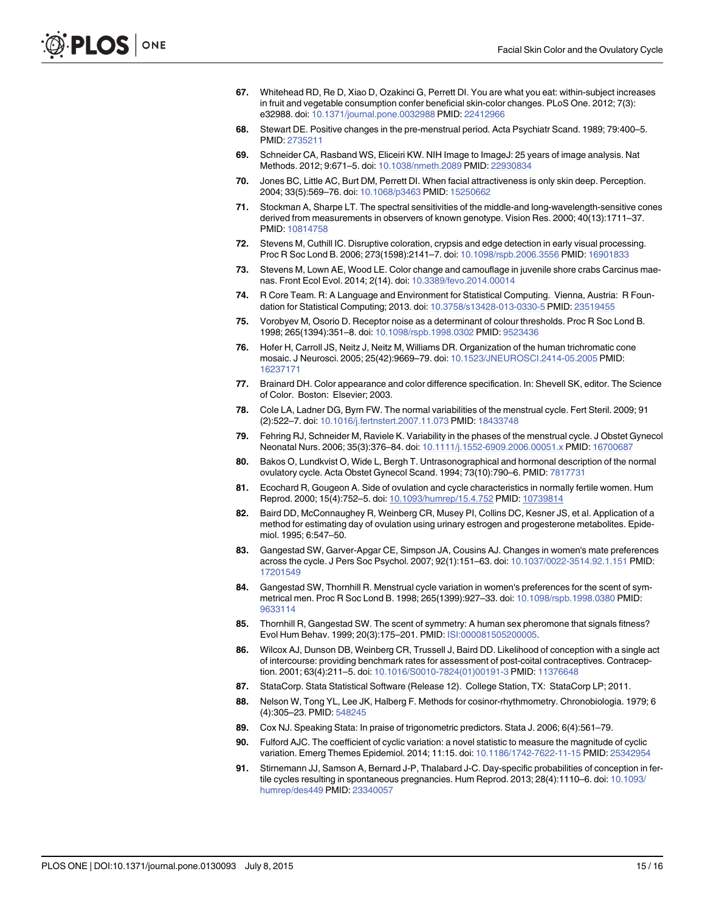- <span id="page-14-0"></span>[67.](#page-3-0) Whitehead RD, Re D, Xiao D, Ozakinci G, Perrett DI. You are what you eat: within-subject increases in fruit and vegetable consumption confer beneficial skin-color changes. PLoS One. 2012; 7(3): e32988. doi: [10.1371/journal.pone.0032988](http://dx.doi.org/10.1371/journal.pone.0032988) PMID: [22412966](http://www.ncbi.nlm.nih.gov/pubmed/22412966)
- [68.](#page-3-0) Stewart DE. Positive changes in the pre-menstrual period. Acta Psychiatr Scand. 1989; 79:400–5. PMID: [2735211](http://www.ncbi.nlm.nih.gov/pubmed/2735211)
- [69.](#page-3-0) Schneider CA, Rasband WS, Eliceiri KW. NIH Image to ImageJ: 25 years of image analysis. Nat Methods. 2012; 9:671–5. doi: [10.1038/nmeth.2089](http://dx.doi.org/10.1038/nmeth.2089) PMID: [22930834](http://www.ncbi.nlm.nih.gov/pubmed/22930834)
- [70.](#page-4-0) Jones BC, Little AC, Burt DM, Perrett DI. When facial attractiveness is only skin deep. Perception. 2004; 33(5):569–76. doi: [10.1068/p3463](http://dx.doi.org/10.1068/p3463) PMID: [15250662](http://www.ncbi.nlm.nih.gov/pubmed/15250662)
- [71.](#page-4-0) Stockman A, Sharpe LT. The spectral sensitivities of the middle-and long-wavelength-sensitive cones derived from measurements in observers of known genotype. Vision Res. 2000; 40(13):1711–37. PMID: [10814758](http://www.ncbi.nlm.nih.gov/pubmed/10814758)
- [72.](#page-4-0) Stevens M, Cuthill IC. Disruptive coloration, crypsis and edge detection in early visual processing. Proc R Soc Lond B. 2006; 273(1598):2141–7. doi: [10.1098/rspb.2006.3556](http://dx.doi.org/10.1098/rspb.2006.3556) PMID: [16901833](http://www.ncbi.nlm.nih.gov/pubmed/16901833)
- [73.](#page-4-0) Stevens M, Lown AE, Wood LE. Color change and camouflage in juvenile shore crabs Carcinus maenas. Front Ecol Evol. 2014; 2(14). doi: [10.3389/fevo.2014.00014](http://dx.doi.org/10.3389/fevo.2014.00014)
- [74.](#page-4-0) R Core Team. R: A Language and Environment for Statistical Computing. Vienna, Austria: R Foundation for Statistical Computing; 2013. doi: [10.3758/s13428-013-0330-5](http://dx.doi.org/10.3758/s13428-013-0330-5) PMID: [23519455](http://www.ncbi.nlm.nih.gov/pubmed/23519455)
- [75.](#page-4-0) Vorobyev M, Osorio D. Receptor noise as a determinant of colour thresholds. Proc R Soc Lond B. 1998; 265(1394):351–8. doi: [10.1098/rspb.1998.0302](http://dx.doi.org/10.1098/rspb.1998.0302) PMID: [9523436](http://www.ncbi.nlm.nih.gov/pubmed/9523436)
- [76.](#page-4-0) Hofer H, Carroll JS, Neitz J, Neitz M, Williams DR. Organization of the human trichromatic cone mosaic. J Neurosci. 2005; 25(42):9669–79. doi: [10.1523/JNEUROSCI.2414-05.2005](http://dx.doi.org/10.1523/JNEUROSCI.2414-05.2005) PMID: [16237171](http://www.ncbi.nlm.nih.gov/pubmed/16237171)
- [77.](#page-4-0) Brainard DH. Color appearance and color difference specification. In: Shevell SK, editor. The Science of Color. Boston: Elsevier; 2003.
- [78.](#page-4-0) Cole LA, Ladner DG, Byrn FW. The normal variabilities of the menstrual cycle. Fert Steril. 2009; 91 (2):522–7. doi: [10.1016/j.fertnstert.2007.11.073](http://dx.doi.org/10.1016/j.fertnstert.2007.11.073) PMID: [18433748](http://www.ncbi.nlm.nih.gov/pubmed/18433748)
- 79. Fehring RJ, Schneider M, Raviele K. Variability in the phases of the menstrual cycle. J Obstet Gynecol Neonatal Nurs. 2006; 35(3):376–84. doi: [10.1111/j.1552-6909.2006.00051.x](http://dx.doi.org/10.1111/j.1552-6909.2006.00051.x) PMID: [16700687](http://www.ncbi.nlm.nih.gov/pubmed/16700687)
- [80.](#page-4-0) Bakos O, Lundkvist O, Wide L, Bergh T. Untrasonographical and hormonal description of the normal ovulatory cycle. Acta Obstet Gynecol Scand. 1994; 73(10):790-6. PMID: [7817731](http://www.ncbi.nlm.nih.gov/pubmed/7817731)
- [81.](#page-4-0) Ecochard R, Gougeon A. Side of ovulation and cycle characteristics in normally fertile women. Hum Reprod. 2000; 15(4):752–5. doi: [10.1093/humrep/15.4.752](http://dx.doi.org/10.1093/humrep/15.4.752) PMID: [10739814](http://www.ncbi.nlm.nih.gov/pubmed/10739814)
- [82.](#page-4-0) Baird DD, McConnaughey R, Weinberg CR, Musey PI, Collins DC, Kesner JS, et al. Application of a method for estimating day of ovulation using urinary estrogen and progesterone metabolites. Epidemiol. 1995; 6:547–50.
- [83.](#page-6-0) Gangestad SW, Garver-Apgar CE, Simpson JA, Cousins AJ. Changes in women's mate preferences across the cycle. J Pers Soc Psychol. 2007; 92(1):151–63. doi: [10.1037/0022-3514.92.1.151](http://dx.doi.org/10.1037/0022-3514.92.1.151) PMID: [17201549](http://www.ncbi.nlm.nih.gov/pubmed/17201549)
- 84. Gangestad SW, Thornhill R. Menstrual cycle variation in women's preferences for the scent of symmetrical men. Proc R Soc Lond B. 1998; 265(1399):927–33. doi: [10.1098/rspb.1998.0380](http://dx.doi.org/10.1098/rspb.1998.0380) PMID: [9633114](http://www.ncbi.nlm.nih.gov/pubmed/9633114)
- [85.](#page-6-0) Thornhill R, Gangestad SW. The scent of symmetry: A human sex pheromone that signals fitness? Evol Hum Behav. 1999; 20(3):175–201. PMID: [ISI:000081505200005](http://www.ncbi.nlm.nih.gov/pubmed/ISI:000081505200005).
- [86.](#page-6-0) Wilcox AJ, Dunson DB, Weinberg CR, Trussell J, Baird DD. Likelihood of conception with a single act of intercourse: providing benchmark rates for assessment of post-coital contraceptives. Contraception. 2001; 63(4):211–5. doi: [10.1016/S0010-7824\(01\)00191-3](http://dx.doi.org/10.1016/S0010-7824(01)00191-3) PMID: [11376648](http://www.ncbi.nlm.nih.gov/pubmed/11376648)
- [87.](#page-6-0) StataCorp. Stata Statistical Software (Release 12). College Station, TX: StataCorp LP; 2011.
- [88.](#page-6-0) Nelson W, Tong YL, Lee JK, Halberg F. Methods for cosinor-rhythmometry. Chronobiologia. 1979; 6 (4):305–23. PMID: [548245](http://www.ncbi.nlm.nih.gov/pubmed/548245)
- [89.](#page-6-0) Cox NJ. Speaking Stata: In praise of trigonometric predictors. Stata J. 2006; 6(4):561–79.
- [90.](#page-6-0) Fulford AJC. The coefficient of cyclic variation: a novel statistic to measure the magnitude of cyclic variation. Emerg Themes Epidemiol. 2014; 11:15. doi: [10.1186/1742-7622-11-15](http://dx.doi.org/10.1186/1742-7622-11-15) PMID: [25342954](http://www.ncbi.nlm.nih.gov/pubmed/25342954)
- [91.](#page-8-0) Stirnemann JJ, Samson A, Bernard J-P, Thalabard J-C. Day-specific probabilities of conception in fertile cycles resulting in spontaneous pregnancies. Hum Reprod. 2013; 28(4):1110–6. doi: [10.1093/](http://dx.doi.org/10.1093/humrep/des449) [humrep/des449](http://dx.doi.org/10.1093/humrep/des449) PMID: [23340057](http://www.ncbi.nlm.nih.gov/pubmed/23340057)